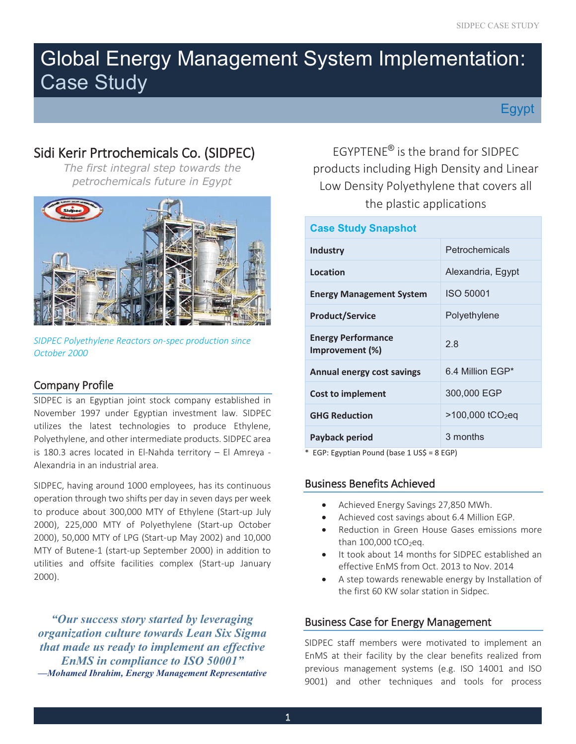# Global Energy Management System Implementation: Case Study

Egypt

# Sidi Kerir Prtrochemicals Co. (SIDPEC) EGYPTENE<sup>®</sup> is the brand for SIDPEC



*SIDPEC Polyethylene Reactors on-spec production since October 2000* 

# Company Profile

SIDPEC is an Egyptian joint stock company established in November 1997 under Egyptian investment law. SIDPEC utilizes the latest technologies to produce Ethylene, Polyethylene, and other intermediate products. SIDPEC area is 180.3 acres located in El-Nahda territory – El Amreya - Alexandria in an industrial area.

 to produce about 300,000 MTY of Ethylene (Start-up July MTY of Butene-1 (start-up September 2000) in addition to SIDPEC, having around 1000 employees, has its continuous operation through two shifts per day in seven days per week 2000), 225,000 MTY of Polyethylene (Start-up October 2000), 50,000 MTY of LPG (Start-up May 2002) and 10,000 utilities and offsite facilities complex (Start-up January 2000).

*"Our success story started by leveraging organization culture towards Lean Six Sigma that made us ready to implement an effective EnMS in compliance to ISO 50001" —Mohamed Ibrahim, Energy Management Representative* 

*The first integral step towards the* products including High Density and Linear *petrochemicals future in Egypt* Low Density Polyethylene that covers all the plastic applications

| <b>Case Study Snapshot</b>                   |                              |  |  |
|----------------------------------------------|------------------------------|--|--|
| Industry                                     | Petrochemicals               |  |  |
| Location                                     | Alexandria, Egypt            |  |  |
| <b>Energy Management System</b>              | <b>ISO 50001</b>             |  |  |
| <b>Product/Service</b>                       | Polyethylene                 |  |  |
| <b>Energy Performance</b><br>Improvement (%) | 2.8                          |  |  |
| <b>Annual energy cost savings</b>            | 6.4 Million EGP*             |  |  |
| <b>Cost to implement</b>                     | 300,000 EGP                  |  |  |
| <b>GHG Reduction</b>                         | >100,000 tCO <sub>2</sub> eq |  |  |
| Payback period                               | 3 months                     |  |  |

\* EGP: Egyptian Pound (base 1 US\$ = 8 EGP)

# Business Benefits Achieved

- Achieved Energy Savings 27,850 MWh.
- Achieved cost savings about 6.4 Million EGP.
- • Reduction in Green House Gases emissions more than  $100,000$  tCO<sub>2</sub>eq.
- effective EnMS from Oct. 2013 to Nov. 2014 It took about 14 months for SIDPEC established an
- A step towards renewable energy by Installation of the first 60 KW solar station in Sidpec.

# Business Case for Energy Management

SIDPEC staff members were motivated to implement an EnMS at their facility by the clear benefits realized from previous management systems (e.g. ISO 14001 and ISO 9001) and other techniques and tools for process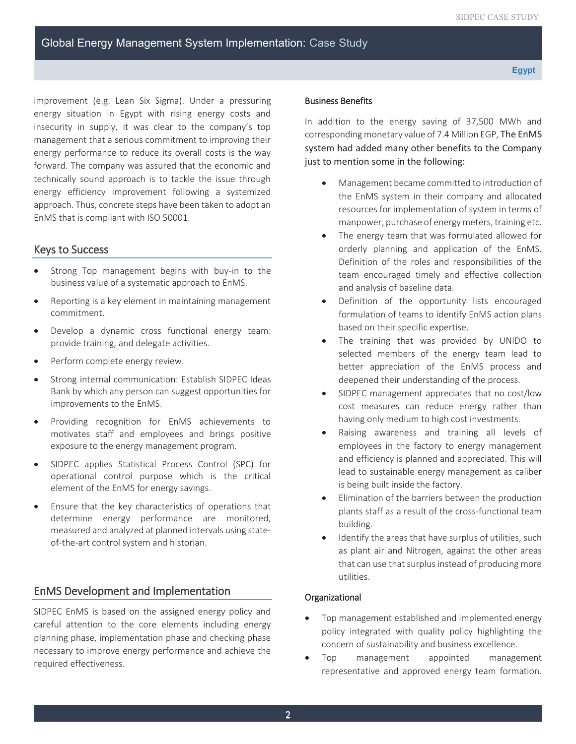EnMS that is compliant with ISO 50001. improvement (e.g. Lean Six Sigma). Under a pressuring energy situation in Egypt with rising energy costs and insecurity in supply, it was clear to the company's top management that a serious commitment to improving their energy performance to reduce its overall costs is the way forward. The company was assured that the economic and technically sound approach is to tackle the issue through energy efficiency improvement following a systemized approach. Thus, concrete steps have been taken to adopt an

# Keys to Success

- • Strong Top management begins with buy-in to the business value of a systematic approach to EnMS.
- Reporting is a key element in maintaining management commitment.
- provide training, and delegate activities. Develop a dynamic cross functional energy team:
- Perform complete energy review.
- Strong internal communication: Establish SIDPEC Ideas Bank by which any person can suggest opportunities for improvements to the EnMS.
- motivates staff and employees and brings positive • Providing recognition for EnMS achievements to exposure to the energy management program.
- SIDPEC applies Statistical Process Control (SPC) for operational control purpose which is the critical element of the EnMS for energy savings.
- Ensure that the key characteristics of operations that determine energy performance are monitored, measured and analyzed at planned intervals using stateof-the-art control system and historian.

# EnMS Development and Implementation

 necessary to improve energy performance and achieve the SIDPEC EnMS is based on the assigned energy policy and careful attention to the core elements including energy planning phase, implementation phase and checking phase required effectiveness.

#### Business Benefits

In addition to the energy saving of 37,500 MWh and corresponding monetary value of 7.4 Million EGP, The EnMS system had added many other benefits to the Company just to mention some in the following:

- manpower, purchase of energy meters, training etc. Management became committed to introduction of the EnMS system in their company and allocated resources for implementation of system in terms of
- The energy team that was formulated allowed for orderly planning and application of the EnMS. Definition of the roles and responsibilities of the team encouraged timely and effective collection and analysis of baseline data.
- Definition of the opportunity lists encouraged formulation of teams to identify EnMS action plans based on their specific expertise.
- • The training that was provided by UNIDO to selected members of the energy team lead to better appreciation of the EnMS process and deepened their understanding of the process.
- SIDPEC management appreciates that no cost/low cost measures can reduce energy rather than having only medium to high cost investments.
- Raising awareness and training all levels of employees in the factory to energy management and efficiency is planned and appreciated. This will lead to sustainable energy management as caliber is being built inside the factory.
- Elimination of the barriers between the production plants staff as a result of the cross-functional team building.
- that can use that surplus instead of producing more Identify the areas that have surplus of utilities, such as plant air and Nitrogen, against the other areas utilities.

### Organizational

- Top management established and implemented energy policy integrated with quality policy highlighting the concern of sustainability and business excellence.
- Top management appointed management representative and approved energy team formation.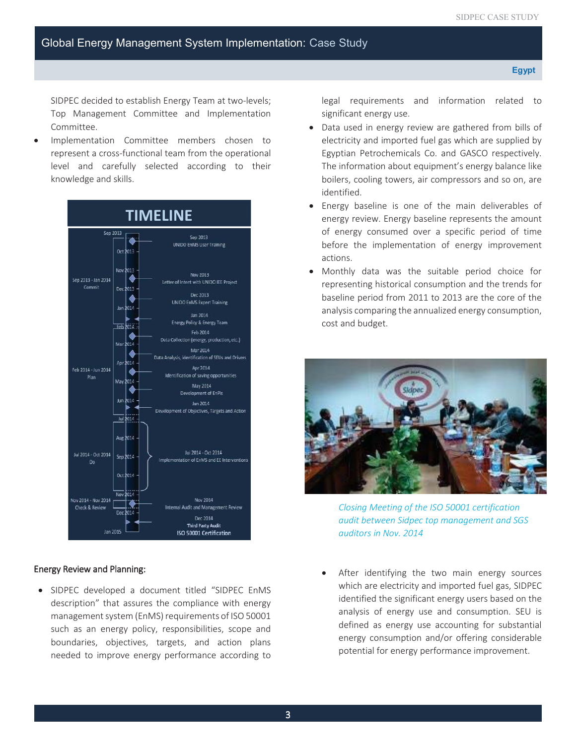SIDPEC decided to establish Energy Team at two-levels; Top Management Committee and Implementation Committee.

Implementation Committee members chosen to represent a cross-functional team from the operational level and carefully selected according to their knowledge and skills.



#### Energy Review and Planning:

• SIDPEC developed a document titled "SIDPEC EnMS description" that assures the compliance with energy management system (EnMS) requirements of ISO 50001 such as an energy policy, responsibilities, scope and boundaries, objectives, targets, and action plans needed to improve energy performance according to

 significant energy use. legal requirements and information related to

- Data used in energy review are gathered from bills of electricity and imported fuel gas which are supplied by Egyptian Petrochemicals Co. and GASCO respectively. The information about equipment's energy balance like boilers, cooling towers, air compressors and so on, are identified.
- Energy baseline is one of the main deliverables of energy review. Energy baseline represents the amount of energy consumed over a specific period of time before the implementation of energy improvement actions.
- baseline period from 2011 to 2013 are the core of the • Monthly data was the suitable period choice for representing historical consumption and the trends for analysis comparing the annualized energy consumption, cost and budget.



*Closing Meeting of the ISO 50001 certification audit between Sidpec top management and SGS auditors in Nov. 2014* 

After identifying the two main energy sources which are electricity and imported fuel gas, SIDPEC identified the significant energy users based on the analysis of energy use and consumption. SEU is defined as energy use accounting for substantial energy consumption and/or offering considerable potential for energy performance improvement.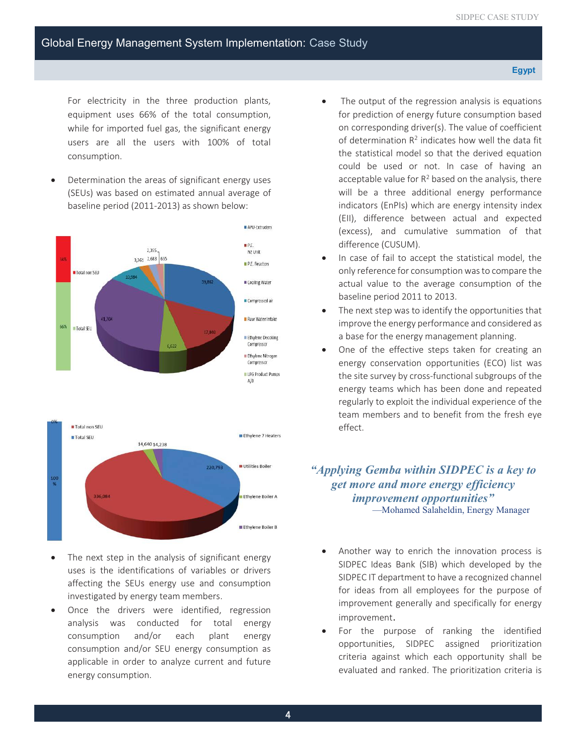#### **Egypt**

 For electricity in the three production plants, equipment uses 66% of the total consumption, while for imported fuel gas, the significant energy users are all the users with 100% of total consumption.

Determination the areas of significant energy uses (SEUs) was based on estimated annual average of baseline period (2011-2013) as shown below:



- investigated by energy team members. The next step in the analysis of significant energy uses is the identifications of variables or drivers affecting the SEUs energy use and consumption
- Once the drivers were identified, regression analysis was conducted for total energy consumption and/or each plant energy consumption and/or SEU energy consumption as applicable in order to analyze current and future energy consumption.
- The output of the regression analysis is equations for prediction of energy future consumption based on corresponding driver(s). The value of coefficient of determination  $R^2$  indicates how well the data fit the statistical model so that the derived equation could be used or not. In case of having an acceptable value for  $R^2$  based on the analysis, there will be a three additional energy performance indicators (EnPIs) which are energy intensity index (EII), difference between actual and expected (excess), and cumulative summation of that difference (CUSUM).
- • In case of fail to accept the statistical model, the only reference for consumption was to compare the actual value to the average consumption of the baseline period 2011 to 2013.
- The next step was to identify the opportunities that improve the energy performance and considered as a base for the energy management planning.
- effect. One of the effective steps taken for creating an energy conservation opportunities (ECO) list was the site survey by cross-functional subgroups of the energy teams which has been done and repeated regularly to exploit the individual experience of the team members and to benefit from the fresh eye

# *"Applying Gemba within SIDPEC is a key to get more and more energy efficiency improvement opportunities"* —Mohamed Salaheldin, Energy Manager

- Another way to enrich the innovation process is SIDPEC Ideas Bank (SIB) which developed by the SIDPEC IT department to have a recognized channel for ideas from all employees for the purpose of improvement generally and specifically for energy improvement.
- For the purpose of ranking the identified opportunities, SIDPEC assigned prioritization criteria against which each opportunity shall be evaluated and ranked. The prioritization criteria is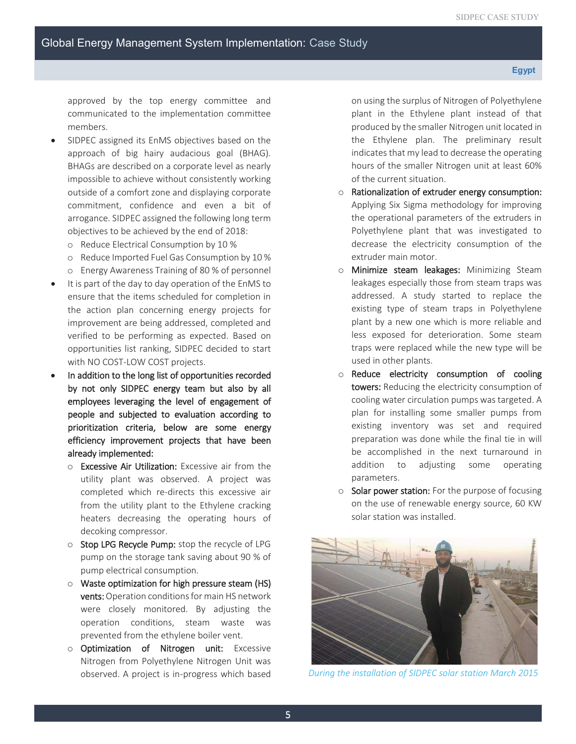approved by the top energy committee and communicated to the implementation committee members.

- SIDPEC assigned its EnMS objectives based on the approach of big hairy audacious goal (BHAG). BHAGs are described on a corporate level as nearly impossible to achieve without consistently working outside of a comfort zone and displaying corporate commitment, confidence and even a bit of arrogance. SIDPEC assigned the following long term objectives to be achieved by the end of 2018:
	- o Reduce Electrical Consumption by 10 %
	- o Reduce Imported Fuel Gas Consumption by 10 %
	- o Energy Awareness Training of 80 % of personnel
- It is part of the day to day operation of the EnMS to ensure that the items scheduled for completion in the action plan concerning energy projects for improvement are being addressed, completed and verified to be performing as expected. Based on opportunities list ranking, SIDPEC decided to start with NO COST-LOW COST projects.
- • In addition to the long list of opportunities recorded by not only SIDPEC energy team but also by all employees leveraging the level of engagement of people and subjected to evaluation according to prioritization criteria, below are some energy efficiency improvement projects that have been already implemented:
	- o Excessive Air Utilization: Excessive air from the utility plant was observed. A project was completed which re-directs this excessive air from the utility plant to the Ethylene cracking heaters decreasing the operating hours of decoking compressor.
	- o Stop LPG Recycle Pump: stop the recycle of LPG pump on the storage tank saving about 90 % of pump electrical consumption.
	- $\circ$  Waste optimization for high pressure steam (HS) vents: Operation conditions for main HS network were closely monitored. By adjusting the operation conditions, steam waste was prevented from the ethylene boiler vent.
	- o Optimization of Nitrogen unit: Excessive Nitrogen from Polyethylene Nitrogen Unit was observed. A project is in-progress which based

on using the surplus of Nitrogen of Polyethylene plant in the Ethylene plant instead of that produced by the smaller Nitrogen unit located in the Ethylene plan. The preliminary result indicates that my lead to decrease the operating hours of the smaller Nitrogen unit at least 60% of the current situation.

- $\circ$  Rationalization of extruder energy consumption: decrease the electricity consumption of the extruder main motor. Applying Six Sigma methodology for improving the operational parameters of the extruders in Polyethylene plant that was investigated to
- o Minimize steam leakages: Minimizing Steam leakages especially those from steam traps was addressed. A study started to replace the existing type of steam traps in Polyethylene plant by a new one which is more reliable and less exposed for deterioration. Some steam traps were replaced while the new type will be used in other plants.
- o Reduce electricity consumption of cooling towers: Reducing the electricity consumption of cooling water circulation pumps was targeted. A plan for installing some smaller pumps from existing inventory was set and required preparation was done while the final tie in will be accomplished in the next turnaround in addition to adjusting some operating parameters.
- o Solar power station: For the purpose of focusing on the use of renewable energy source, 60 KW solar station was installed.



*During the installation of SIDPEC solar station March 2015*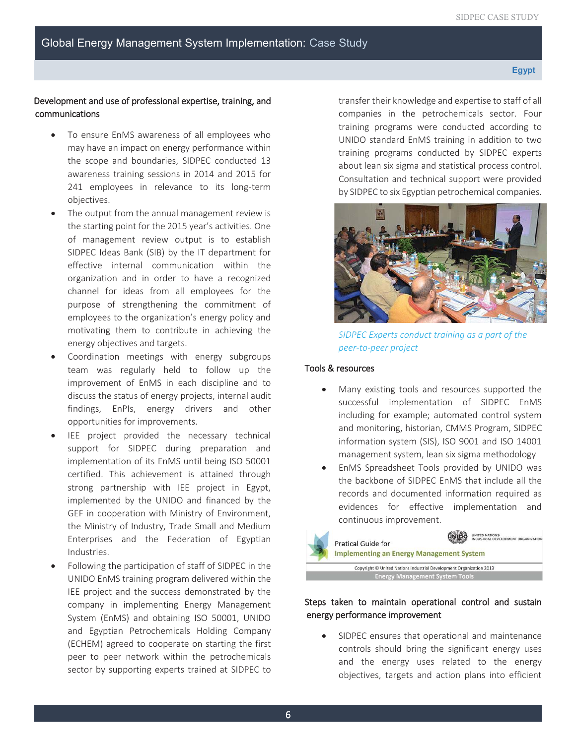**Egypt** 

# Development and use of professional expertise, training, and communications

- may have an impact on energy performance within To ensure EnMS awareness of all employees who the scope and boundaries, SIDPEC conducted 13 awareness training sessions in 2014 and 2015 for 241 employees in relevance to its long-term objectives.
- the starting point for the 2015 year's activities. One motivating them to contribute in achieving the The output from the annual management review is of management review output is to establish SIDPEC Ideas Bank (SIB) by the IT department for effective internal communication within the organization and in order to have a recognized channel for ideas from all employees for the purpose of strengthening the commitment of employees to the organization's energy policy and energy objectives and targets.
- Coordination meetings with energy subgroups team was regularly held to follow up the improvement of EnMS in each discipline and to discuss the status of energy projects, internal audit findings, EnPIs, energy drivers and other opportunities for improvements.
- Industries. IEE project provided the necessary technical support for SIDPEC during preparation and implementation of its EnMS until being ISO 50001 certified. This achievement is attained through strong partnership with IEE project in Egypt, implemented by the UNIDO and financed by the GEF in cooperation with Ministry of Environment, the Ministry of Industry, Trade Small and Medium Enterprises and the Federation of Egyptian
- UNIDO EnMS training program delivered within the IEE project and the success demonstrated by the Following the participation of staff of SIDPEC in the company in implementing Energy Management System (EnMS) and obtaining ISO 50001, UNIDO and Egyptian Petrochemicals Holding Company (ECHEM) agreed to cooperate on starting the first peer to peer network within the petrochemicals sector by supporting experts trained at SIDPEC to

 by SIDPEC to six Egyptian petrochemical companies. transfer their knowledge and expertise to staff of all companies in the petrochemicals sector. Four training programs were conducted according to UNIDO standard EnMS training in addition to two training programs conducted by SIDPEC experts about lean six sigma and statistical process control. Consultation and technical support were provided



 *SIDPEC Experts conduct training as a part of the peer-to-peer project* 

## Tools & resources

- Many existing tools and resources supported the successful implementation of SIDPEC EnMS including for example; automated control system and monitoring, historian, CMMS Program, SIDPEC information system (SIS), ISO 9001 and ISO 14001 management system, lean six sigma methodology
- • EnMS Spreadsheet Tools provided by UNIDO was the backbone of SIDPEC EnMS that include all the records and documented information required as evidences for effective implementation and continuous improvement.



# Steps taken to maintain operational control and sustain energy performance improvement

 objectives, targets and action plans into efficient SIDPEC ensures that operational and maintenance controls should bring the significant energy uses and the energy uses related to the energy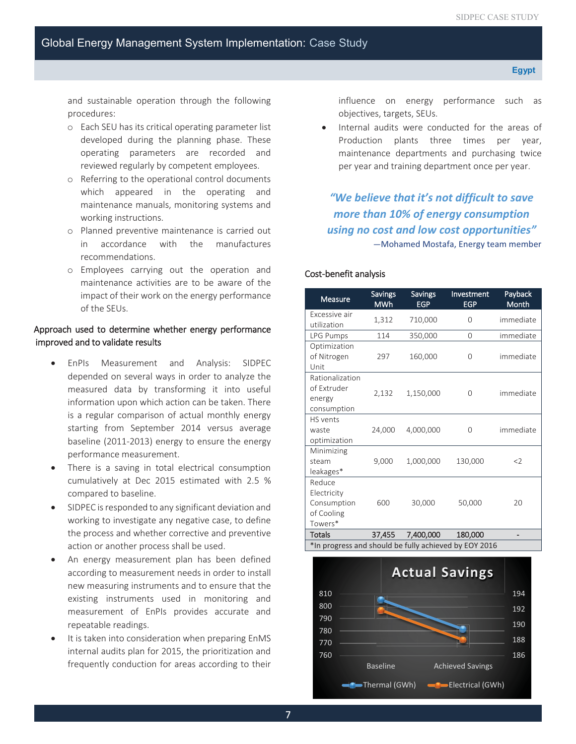and sustainable operation through the following procedures:

- o Each SEU has its critical operating parameter list developed during the planning phase. These operating parameters are recorded and reviewed regularly by competent employees.
- o Referring to the operational control documents which appeared in the operating and maintenance manuals, monitoring systems and working instructions.
- o Planned preventive maintenance is carried out in accordance with the manufactures recommendations.
- o Employees carrying out the operation and maintenance activities are to be aware of the impact of their work on the energy performance of the SEUs.

### Approach used to determine whether energy performance improved and to validate results

- measured data by transforming it into useful EnPIs Measurement and Analysis: SIDPEC depended on several ways in order to analyze the information upon which action can be taken. There is a regular comparison of actual monthly energy starting from September 2014 versus average baseline (2011-2013) energy to ensure the energy performance measurement.
- There is a saving in total electrical consumption cumulatively at Dec 2015 estimated with 2.5 % compared to baseline.
- SIDPEC is responded to any significant deviation and working to investigate any negative case, to define the process and whether corrective and preventive action or another process shall be used.
- An energy measurement plan has been defined according to measurement needs in order to install new measuring instruments and to ensure that the existing instruments used in monitoring and measurement of EnPIs provides accurate and repeatable readings.
- It is taken into consideration when preparing EnMS internal audits plan for 2015, the prioritization and frequently conduction for areas according to their

influence on energy performance such as objectives, targets, SEUs.

 per year and training department once per year. Internal audits were conducted for the areas of Production plants three times per year, maintenance departments and purchasing twice

*"We believe that it's not difficult to save more than 10% of energy consumption using no cost and low cost opportunities"*  —Mohamed Mostafa, Energy team member

| Cost-benefit analysis                                         |                              |                              |                          |                  |  |
|---------------------------------------------------------------|------------------------------|------------------------------|--------------------------|------------------|--|
| Measure                                                       | <b>Savings</b><br><b>MWh</b> | <b>Savings</b><br><b>EGP</b> | Investment<br><b>EGP</b> | Payback<br>Month |  |
| Excessive air<br>utilization                                  | 1,312                        | 710,000                      | 0                        | immediate        |  |
| LPG Pumps                                                     | 114                          | 350,000                      | 0                        | immediate        |  |
| Optimization<br>of Nitrogen<br>Unit                           | 297                          | 160,000                      | $\Omega$                 | immediate        |  |
| Rationalization<br>of Extruder<br>energy<br>consumption       | 2,132                        | 1,150,000                    | $\Omega$                 | immediate        |  |
| <b>HS</b> vents<br>waste<br>optimization                      | 24,000                       | 4,000,000                    | $\Omega$                 | immediate        |  |
| Minimizing<br>steam<br>leakages*                              | 9,000                        | 1,000,000                    | 130,000                  | <                |  |
| Reduce<br>Electricity<br>Consumption<br>of Cooling<br>Towers* | 600                          | 30,000                       | 50,000                   | 20               |  |
| <b>Totals</b>                                                 | 37,455                       | 7,400,000                    | 180,000                  |                  |  |
| *In progress and should be fully achieved by EOY 2016         |                              |                              |                          |                  |  |